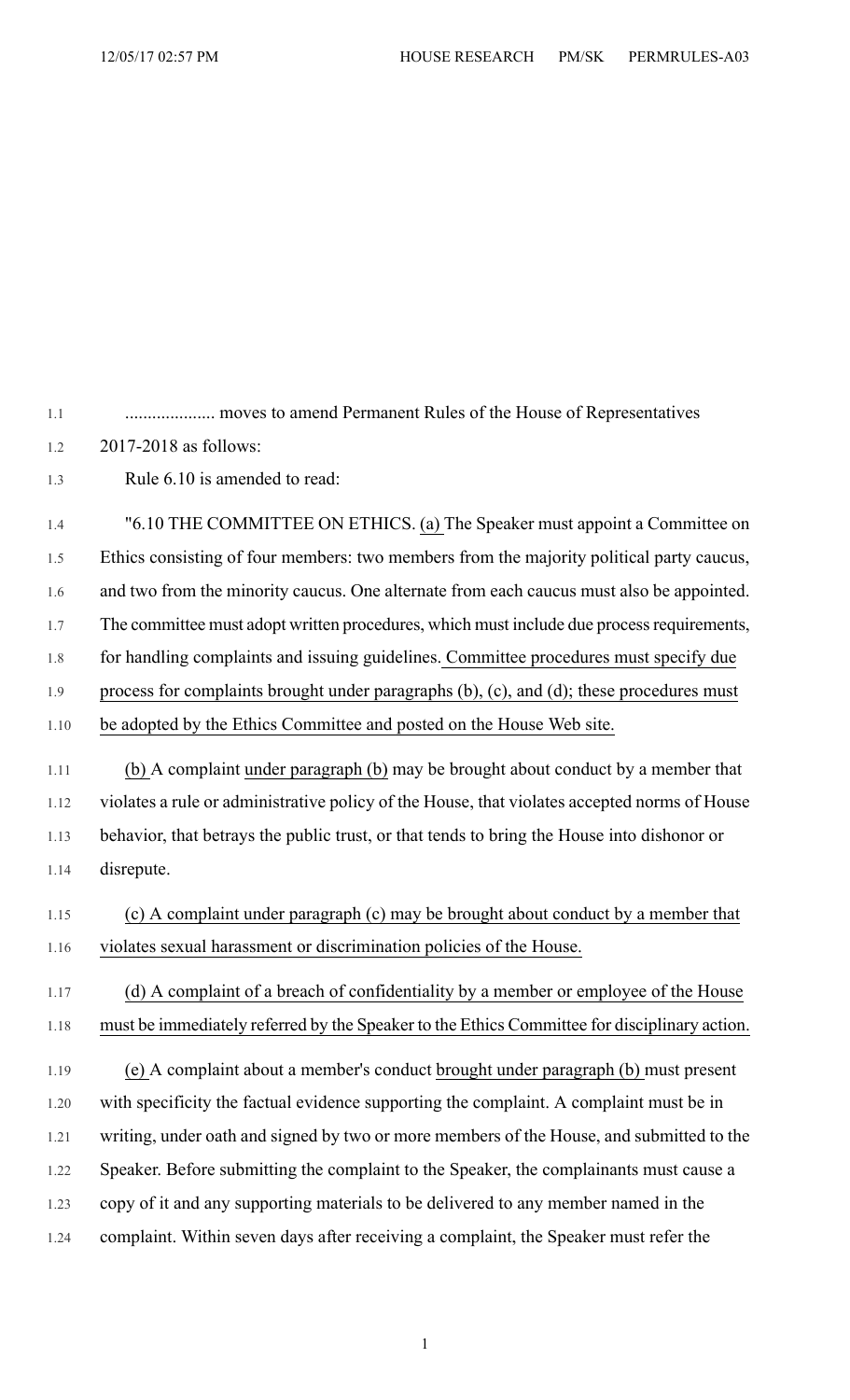1.1 .................... moves to amend Permanent Rules of the House of Representatives

1.2 2017-2018 as follows:

1.3 Rule 6.10 is amended to read:

1.4 "6.10 THE COMMITTEE ON ETHICS. (a) The Speaker must appoint a Committee on 1.5 Ethics consisting of four members: two members from the majority political party caucus, 1.6 and two from the minority caucus. One alternate from each caucus must also be appointed. 1.7 The committee must adopt written procedures, which must include due process requirements, 1.8 for handling complaints and issuing guidelines. Committee procedures must specify due 1.9 process for complaints brought under paragraphs (b), (c), and (d); these procedures must 1.10 be adopted by the Ethics Committee and posted on the House Web site. 1.11 (b) A complaint under paragraph (b) may be brought about conduct by a member that 1.12 violates a rule or administrative policy of the House, that violates accepted norms of House

1.13 behavior, that betrays the public trust, or that tends to bring the House into dishonor or 1.14 disrepute.

1.15 (c) A complaint under paragraph (c) may be brought about conduct by a member that 1.16 violates sexual harassment or discrimination policies of the House.

## 1.17 (d) A complaint of a breach of confidentiality by a member or employee of the House 1.18 must be immediately referred by the Speaker to the Ethics Committee for disciplinary action.

1.19 (e) A complaint about a member's conduct brought under paragraph (b) must present 1.20 with specificity the factual evidence supporting the complaint. A complaint must be in 1.21 writing, under oath and signed by two or more members of the House, and submitted to the 1.22 Speaker. Before submitting the complaint to the Speaker, the complainants must cause a 1.23 copy of it and any supporting materials to be delivered to any member named in the 1.24 complaint. Within seven days after receiving a complaint, the Speaker must refer the

1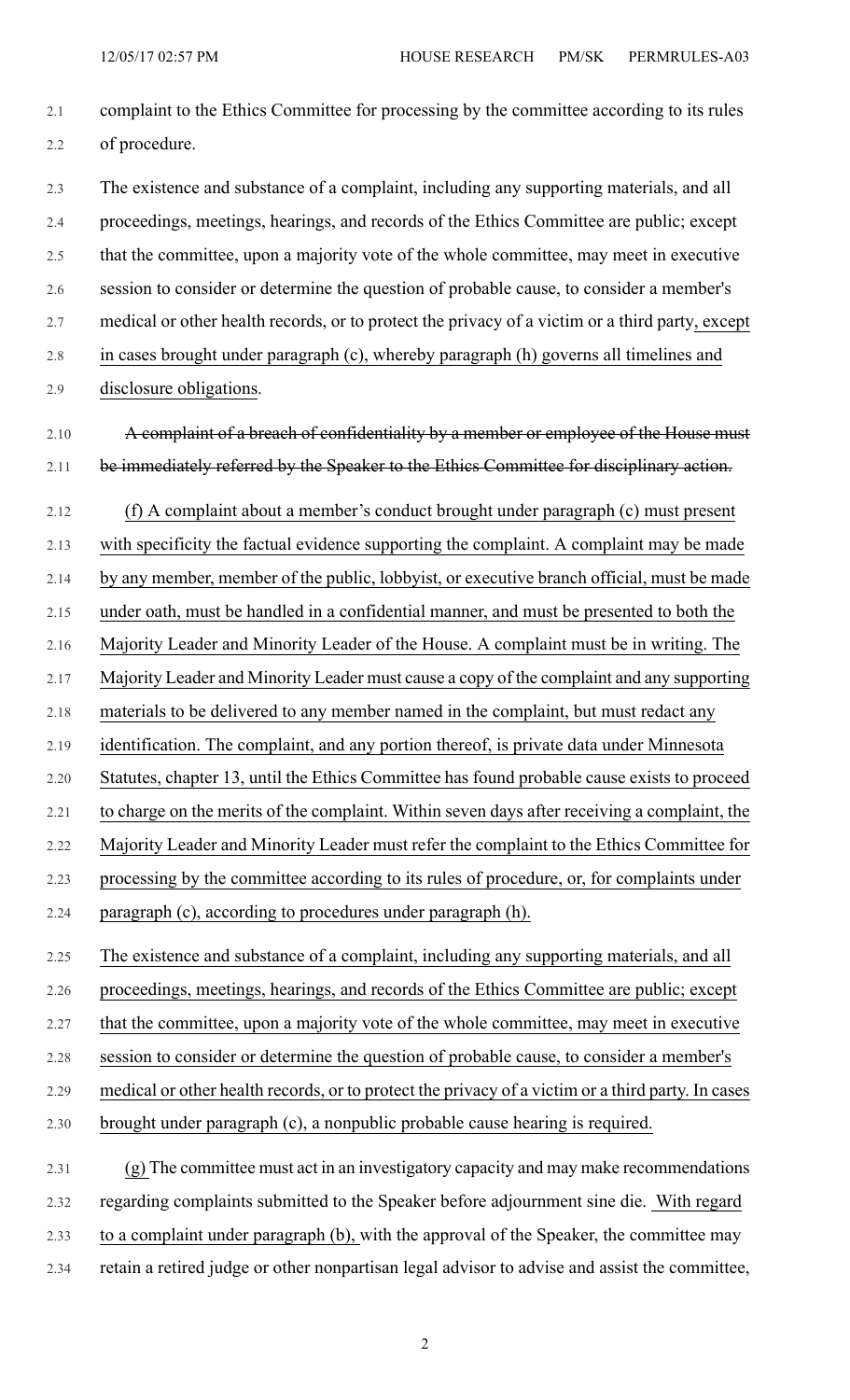- 2.1 complaint to the Ethics Committee for processing by the committee according to its rules 2.2 of procedure. 2.3 The existence and substance of a complaint, including any supporting materials, and all 2.4 proceedings, meetings, hearings, and records of the Ethics Committee are public; except 2.5 that the committee, upon a majority vote of the whole committee, may meet in executive 2.6 session to consider or determine the question of probable cause, to consider a member's 2.7 medical or other health records, or to protect the privacy of a victim or a third party, except 2.8 in cases brought under paragraph (c), whereby paragraph (h) governs all timelines and 2.9 disclosure obligations. 2.10 A complaint of a breach of confidentiality by a member or employee of the House must 2.11 be immediately referred by the Speaker to the Ethics Committee for disciplinary action. 2.12 (f) A complaint about a member's conduct brought under paragraph (c) must present 2.13 with specificity the factual evidence supporting the complaint. A complaint may be made 2.14 by any member, member of the public, lobbyist, or executive branch official, must be made 2.15 under oath, must be handled in a confidential manner, and must be presented to both the 2.16 Majority Leader and Minority Leader of the House. A complaint must be in writing. The 2.17 Majority Leader and Minority Leader must cause a copy of the complaint and any supporting 2.18 materials to be delivered to any member named in the complaint, but must redact any 2.19 identification. The complaint, and any portion thereof, is private data under Minnesota 2.20 Statutes, chapter 13, until the Ethics Committee has found probable cause exists to proceed 2.21 to charge on the merits of the complaint. Within seven days after receiving a complaint, the 2.22 Majority Leader and Minority Leader must refer the complaint to the Ethics Committee for 2.23 processing by the committee according to its rules of procedure, or, for complaints under 2.24 paragraph (c), according to procedures under paragraph (h). 2.25 The existence and substance of a complaint, including any supporting materials, and all 2.26 proceedings, meetings, hearings, and records of the Ethics Committee are public; except 2.27 that the committee, upon a majority vote of the whole committee, may meet in executive 2.28 session to consider or determine the question of probable cause, to consider a member's 2.29 medical or other health records, or to protect the privacy of a victim or a third party. In cases 2.30 brought under paragraph (c), a nonpublic probable cause hearing is required. 2.31 (g) The committee must act in an investigatory capacity and may make recommendations 2.32 regarding complaints submitted to the Speaker before adjournment sine die. With regard
	- 2.33 to a complaint under paragraph (b), with the approval of the Speaker, the committee may
	- 2.34 retain a retired judge or other nonpartisan legal advisor to advise and assist the committee,

2